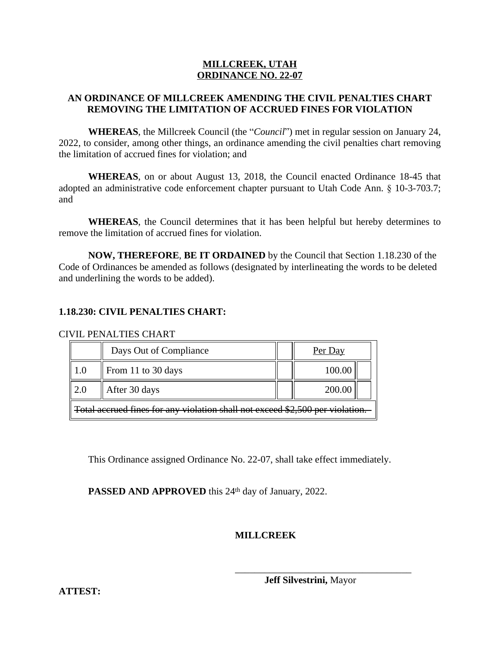## **MILLCREEK, UTAH ORDINANCE NO. 22-07**

# **AN ORDINANCE OF MILLCREEK AMENDING THE CIVIL PENALTIES CHART REMOVING THE LIMITATION OF ACCRUED FINES FOR VIOLATION**

**WHEREAS**, the Millcreek Council (the "*Council*") met in regular session on January 24, 2022, to consider, among other things, an ordinance amending the civil penalties chart removing the limitation of accrued fines for violation; and

**WHEREAS**, on or about August 13, 2018, the Council enacted Ordinance 18-45 that adopted an administrative code enforcement chapter pursuant to Utah Code Ann. § 10-3-703.7; and

**WHEREAS**, the Council determines that it has been helpful but hereby determines to remove the limitation of accrued fines for violation.

**NOW, THEREFORE**, **BE IT ORDAINED** by the Council that Section 1.18.230 of the Code of Ordinances be amended as follows (designated by interlineating the words to be deleted and underlining the words to be added).

# **1.18.230: CIVIL PENALTIES CHART:**

#### CIVIL PENALTIES CHART

|                                                                               | Days Out of Compliance |  | Per Day |  |  |
|-------------------------------------------------------------------------------|------------------------|--|---------|--|--|
|                                                                               | From 11 to 30 days     |  | 100.00  |  |  |
| 2.0                                                                           | After 30 days          |  | 200.00  |  |  |
| Total accrued fines for any violation shall not exceed \$2,500 per violation. |                        |  |         |  |  |

This Ordinance assigned Ordinance No. 22-07, shall take effect immediately.

PASSED AND APPROVED this 24<sup>th</sup> day of January, 2022.

# **MILLCREEK**

\_\_\_\_\_\_\_\_\_\_\_\_\_\_\_\_\_\_\_\_\_\_\_\_\_\_\_\_\_\_\_\_\_\_\_\_